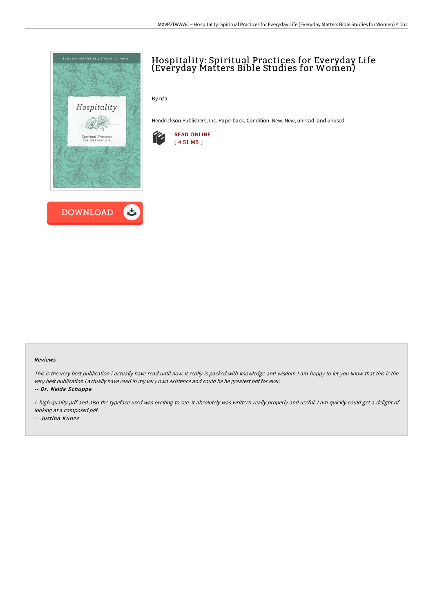

# Hospitality: Spiritual Practices for Everyday Life (Everyday Matters Bible Studies for Women)

By n/a

Hendrickson Publishers, Inc. Paperback. Condition: New. New, unread, and unused.



#### Reviews

This is the very best publication i actually have read until now. It really is packed with knowledge and wisdom I am happy to let you know that this is the very best publication i actually have read in my very own existence and could be he greatest pdf for ever.

-- Dr. Nelda Schuppe

<sup>A</sup> high quality pdf and also the typeface used was exciting to see. it absolutely was writtern really properly and useful. <sup>I</sup> am quickly could get <sup>a</sup> delight of looking at <sup>a</sup> composed pdf. -- Justina Kunze